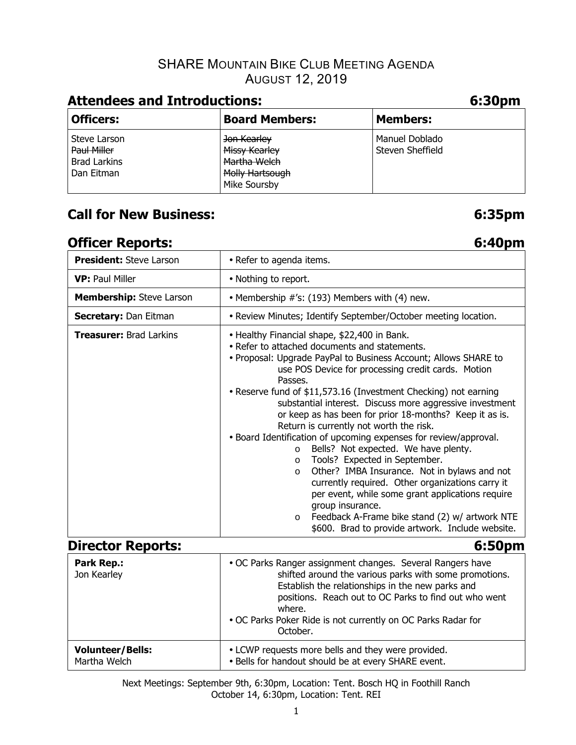## SHARE MOUNTAIN BIKE CLUB MEETING AGENDA AUGUST 12, 2019

# **Attendees and Introductions: 6:30pm**

| <b>Officers:</b>                                                 | <b>Board Members:</b>                                                           | <b>Members:</b>                    |
|------------------------------------------------------------------|---------------------------------------------------------------------------------|------------------------------------|
| Steve Larson<br>Paul Miller<br><b>Brad Larkins</b><br>Dan Eitman | Jon Kearley<br>Missy Kearley<br>Martha Welch<br>Molly Hartsough<br>Mike Soursby | Manuel Doblado<br>Steven Sheffield |

# **Call for New Business: 6:35pm**

# **Officer Reports:** 6:40pm

**Volunteer/Bells:** 

| <b>President: Steve Larson</b>   | • Refer to agenda items.                                                                                                                                                                                                                                                                                                                                                                                                                                                                                                                                                                                                                                                                                                                                                                                                                                                                                                                          |  |  |  |  |
|----------------------------------|---------------------------------------------------------------------------------------------------------------------------------------------------------------------------------------------------------------------------------------------------------------------------------------------------------------------------------------------------------------------------------------------------------------------------------------------------------------------------------------------------------------------------------------------------------------------------------------------------------------------------------------------------------------------------------------------------------------------------------------------------------------------------------------------------------------------------------------------------------------------------------------------------------------------------------------------------|--|--|--|--|
| <b>VP: Paul Miller</b>           | • Nothing to report.                                                                                                                                                                                                                                                                                                                                                                                                                                                                                                                                                                                                                                                                                                                                                                                                                                                                                                                              |  |  |  |  |
| <b>Membership:</b> Steve Larson  | • Membership $\#$ 's: (193) Members with (4) new.                                                                                                                                                                                                                                                                                                                                                                                                                                                                                                                                                                                                                                                                                                                                                                                                                                                                                                 |  |  |  |  |
| <b>Secretary: Dan Eitman</b>     | • Review Minutes; Identify September/October meeting location.                                                                                                                                                                                                                                                                                                                                                                                                                                                                                                                                                                                                                                                                                                                                                                                                                                                                                    |  |  |  |  |
| <b>Treasurer: Brad Larkins</b>   | • Healthy Financial shape, \$22,400 in Bank.<br>• Refer to attached documents and statements.<br>• Proposal: Upgrade PayPal to Business Account; Allows SHARE to<br>use POS Device for processing credit cards. Motion<br>Passes.<br>• Reserve fund of \$11,573.16 (Investment Checking) not earning<br>substantial interest. Discuss more aggressive investment<br>or keep as has been for prior 18-months? Keep it as is.<br>Return is currently not worth the risk.<br>• Board Identification of upcoming expenses for review/approval.<br>Bells? Not expected. We have plenty.<br>$\circ$<br>Tools? Expected in September.<br>$\circ$<br>Other? IMBA Insurance. Not in bylaws and not<br>$\circ$<br>currently required. Other organizations carry it<br>per event, while some grant applications require<br>group insurance.<br>Feedback A-Frame bike stand (2) w/ artwork NTE<br>$\circ$<br>\$600. Brad to provide artwork. Include website. |  |  |  |  |
| <b>Director Reports:</b>         | 6:50pm                                                                                                                                                                                                                                                                                                                                                                                                                                                                                                                                                                                                                                                                                                                                                                                                                                                                                                                                            |  |  |  |  |
| <b>Park Rep.:</b><br>Jon Kearley | • OC Parks Ranger assignment changes. Several Rangers have<br>shifted around the various parks with some promotions.<br>Establish the relationships in the new parks and<br>positions. Reach out to OC Parks to find out who went<br>where.<br>. OC Parks Poker Ride is not currently on OC Parks Radar for<br>October.                                                                                                                                                                                                                                                                                                                                                                                                                                                                                                                                                                                                                           |  |  |  |  |

Next Meetings: September 9th, 6:30pm, Location: Tent. Bosch HQ in Foothill Ranch October 14, 6:30pm, Location: Tent. REI Martha Welch • Bells for handout should be at every SHARE event.

• LCWP requests more bells and they were provided.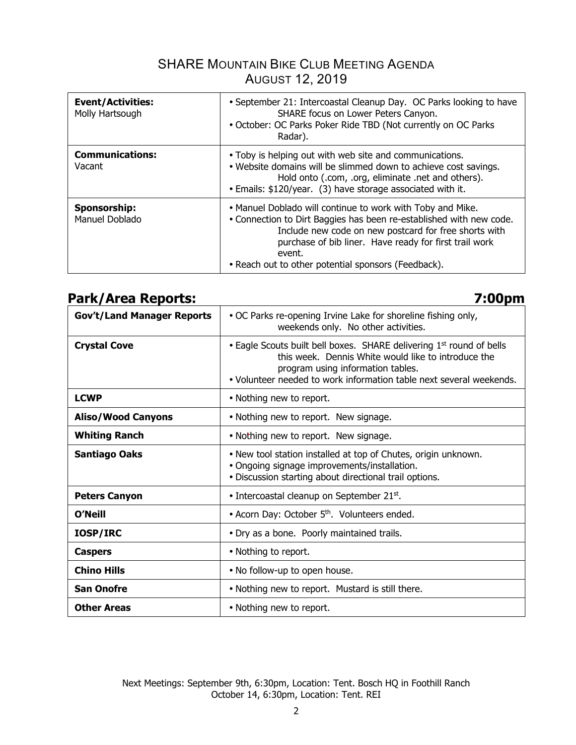## SHARE MOUNTAIN BIKE CLUB MEETING AGENDA AUGUST 12, 2019

| <b>Event/Activities:</b><br>Molly Hartsough | • September 21: Intercoastal Cleanup Day. OC Parks looking to have<br>SHARE focus on Lower Peters Canyon.<br>• October: OC Parks Poker Ride TBD (Not currently on OC Parks<br>Radar).                                                                                                                                 |
|---------------------------------------------|-----------------------------------------------------------------------------------------------------------------------------------------------------------------------------------------------------------------------------------------------------------------------------------------------------------------------|
| <b>Communications:</b><br>Vacant            | • Toby is helping out with web site and communications.<br>• Website domains will be slimmed down to achieve cost savings.<br>Hold onto (.com, .org, eliminate .net and others).<br>• Emails: \$120/year. (3) have storage associated with it.                                                                        |
| Sponsorship:<br>Manuel Doblado              | • Manuel Doblado will continue to work with Toby and Mike.<br>• Connection to Dirt Baggies has been re-established with new code.<br>Include new code on new postcard for free shorts with<br>purchase of bib liner. Have ready for first trail work<br>event.<br>• Reach out to other potential sponsors (Feedback). |

## **Park/Area Reports: 7:00pm**

| $\mathbf{u}$ , $\mathbf{v}$ , $\mathbf{v}$ and $\mathbf{v}$ |                                                                                                                                                                                                                                                     |  |  |  |  |
|-------------------------------------------------------------|-----------------------------------------------------------------------------------------------------------------------------------------------------------------------------------------------------------------------------------------------------|--|--|--|--|
| <b>Gov't/Land Manager Reports</b>                           | • OC Parks re-opening Irvine Lake for shoreline fishing only,<br>weekends only. No other activities.                                                                                                                                                |  |  |  |  |
| <b>Crystal Cove</b>                                         | • Eagle Scouts built bell boxes. SHARE delivering 1 <sup>st</sup> round of bells<br>this week. Dennis White would like to introduce the<br>program using information tables.<br>. Volunteer needed to work information table next several weekends. |  |  |  |  |
| <b>LCWP</b>                                                 | • Nothing new to report.                                                                                                                                                                                                                            |  |  |  |  |
| <b>Aliso/Wood Canyons</b>                                   | • Nothing new to report. New signage.                                                                                                                                                                                                               |  |  |  |  |
| <b>Whiting Ranch</b>                                        | • Nothing new to report. New signage.                                                                                                                                                                                                               |  |  |  |  |
| <b>Santiago Oaks</b>                                        | . New tool station installed at top of Chutes, origin unknown.<br>· Ongoing signage improvements/installation.<br>· Discussion starting about directional trail options.                                                                            |  |  |  |  |
| <b>Peters Canyon</b>                                        | • Intercoastal cleanup on September 21st.                                                                                                                                                                                                           |  |  |  |  |
| <b>O'Neill</b>                                              | • Acorn Day: October 5 <sup>th</sup> . Volunteers ended.                                                                                                                                                                                            |  |  |  |  |
| IOSP/IRC                                                    | · Dry as a bone. Poorly maintained trails.                                                                                                                                                                                                          |  |  |  |  |
| <b>Caspers</b>                                              | • Nothing to report.                                                                                                                                                                                                                                |  |  |  |  |
| <b>Chino Hills</b>                                          | • No follow-up to open house.                                                                                                                                                                                                                       |  |  |  |  |
| <b>San Onofre</b>                                           | • Nothing new to report. Mustard is still there.                                                                                                                                                                                                    |  |  |  |  |
| <b>Other Areas</b>                                          | • Nothing new to report.                                                                                                                                                                                                                            |  |  |  |  |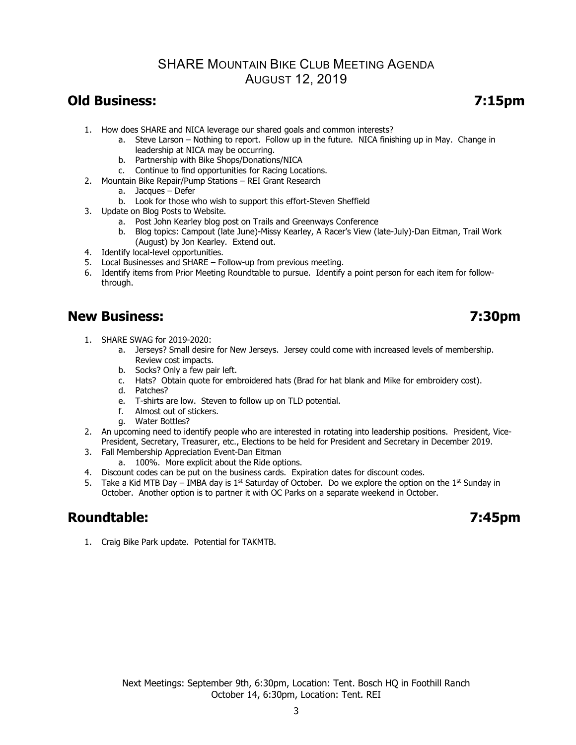### SHARE MOUNTAIN BIKE CLUB MEETING AGENDA AUGUST 12, 2019

## **Old Business: 7:15pm**

- 1. How does SHARE and NICA leverage our shared goals and common interests?
	- a. Steve Larson Nothing to report. Follow up in the future. NICA finishing up in May. Change in leadership at NICA may be occurring.
	- b. Partnership with Bike Shops/Donations/NICA
	- c. Continue to find opportunities for Racing Locations.
- 2. Mountain Bike Repair/Pump Stations REI Grant Research
	- a. Jacques Defer
	- b. Look for those who wish to support this effort-Steven Sheffield
- 3. Update on Blog Posts to Website.
	- a. Post John Kearley blog post on Trails and Greenways Conference
	- b. Blog topics: Campout (late June)-Missy Kearley, A Racer's View (late-July)-Dan Eitman, Trail Work (August) by Jon Kearley. Extend out.
- 4. Identify local-level opportunities.
- 5. Local Businesses and SHARE Follow-up from previous meeting.
- 6. Identify items from Prior Meeting Roundtable to pursue. Identify a point person for each item for followthrough.

## **New Business: 7:30pm**

- 1. SHARE SWAG for 2019-2020:
	- a. Jerseys? Small desire for New Jerseys. Jersey could come with increased levels of membership. Review cost impacts.
		- b. Socks? Only a few pair left.
		- c. Hats? Obtain quote for embroidered hats (Brad for hat blank and Mike for embroidery cost).
		- d. Patches?
		- e. T-shirts are low. Steven to follow up on TLD potential.
		- f. Almost out of stickers.
		- g. Water Bottles?
- 2. An upcoming need to identify people who are interested in rotating into leadership positions. President, Vice-President, Secretary, Treasurer, etc., Elections to be held for President and Secretary in December 2019.
- 3. Fall Membership Appreciation Event-Dan Eitman
	- a. 100%. More explicit about the Ride options.
- 4. Discount codes can be put on the business cards. Expiration dates for discount codes.
- 5. Take a Kid MTB Day IMBA day is 1<sup>st</sup> Saturday of October. Do we explore the option on the 1<sup>st</sup> Sunday in October. Another option is to partner it with OC Parks on a separate weekend in October.

# **Roundtable: 7:45pm**

1. Craig Bike Park update. Potential for TAKMTB.